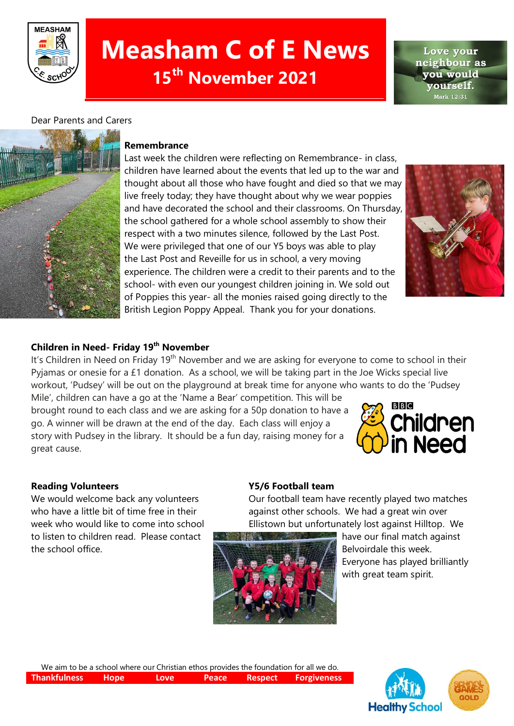

# **Measham C of E News 15th November 2021**

Love your neighbour as vou would vourself. Mark 12:31

# Dear Parents and Carers



#### **Remembrance**

Last week the children were reflecting on Remembrance- in class, children have learned about the events that led up to the war and thought about all those who have fought and died so that we may live freely today; they have thought about why we wear poppies and have decorated the school and their classrooms. On Thursday, the school gathered for a whole school assembly to show their respect with a two minutes silence, followed by the Last Post. We were privileged that one of our Y5 boys was able to play the Last Post and Reveille for us in school, a very moving experience. The children were a credit to their parents and to the school- with even our youngest children joining in. We sold out of Poppies this year- all the monies raised going directly to the British Legion Poppy Appeal. Thank you for your donations.



# **Children in Need- Friday 19th November**

It's Children in Need on Friday 19<sup>th</sup> November and we are asking for everyone to come to school in their Pyjamas or onesie for a £1 donation. As a school, we will be taking part in the Joe Wicks special live workout, 'Pudsey' will be out on the playground at break time for anyone who wants to do the 'Pudsey

Mile', children can have a go at the 'Name a Bear' competition. This will be brought round to each class and we are asking for a 50p donation to have a go. A winner will be drawn at the end of the day. Each class will enjoy a story with Pudsey in the library. It should be a fun day, raising money for a great cause.



#### **Reading Volunteers Y5/6 Football team**

week who would like to come into school Ellistown but unfortunately lost against Hilltop. We to listen to children read. Please contact **the state of the season of the cour final match against** the school office. The school office that the school office.

We would welcome back any volunteers **Our football team have recently played two matches** who have a little bit of time free in their against other schools. We had a great win over



Everyone has played brilliantly with great team spirit.

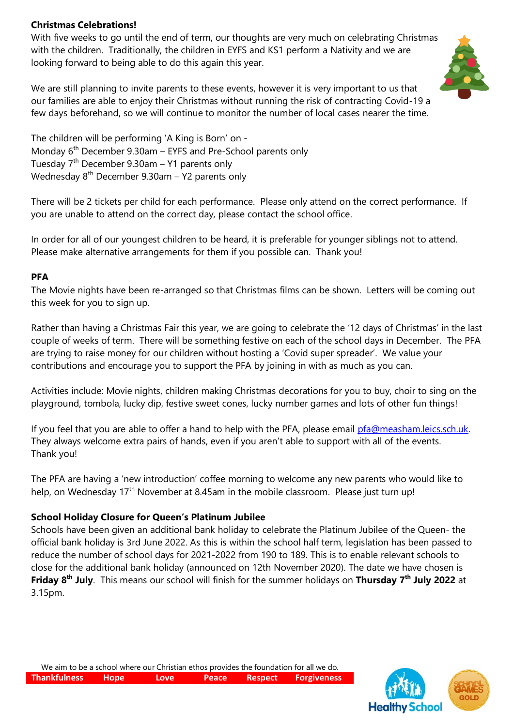### **Christmas Celebrations!**

With five weeks to go until the end of term, our thoughts are very much on celebrating Christmas with the children. Traditionally, the children in EYFS and KS1 perform a Nativity and we are looking forward to being able to do this again this year.



We are still planning to invite parents to these events, however it is very important to us that our families are able to enjoy their Christmas without running the risk of contracting Covid-19 a few days beforehand, so we will continue to monitor the number of local cases nearer the time.

The children will be performing 'A King is Born' on - Monday 6<sup>th</sup> December 9.30am – EYFS and Pre-School parents only Tuesday  $7<sup>th</sup>$  December 9.30am – Y1 parents only Wednesday 8<sup>th</sup> December 9.30am – Y2 parents only

There will be 2 tickets per child for each performance. Please only attend on the correct performance. If you are unable to attend on the correct day, please contact the school office.

In order for all of our youngest children to be heard, it is preferable for younger siblings not to attend. Please make alternative arrangements for them if you possible can. Thank you!

#### **PFA**

The Movie nights have been re-arranged so that Christmas films can be shown. Letters will be coming out this week for you to sign up.

Rather than having a Christmas Fair this year, we are going to celebrate the '12 days of Christmas' in the last couple of weeks of term. There will be something festive on each of the school days in December. The PFA are trying to raise money for our children without hosting a 'Covid super spreader'. We value your contributions and encourage you to support the PFA by joining in with as much as you can.

Activities include: Movie nights, children making Christmas decorations for you to buy, choir to sing on the playground, tombola, lucky dip, festive sweet cones, lucky number games and lots of other fun things!

If you feel that you are able to offer a hand to help with the PFA, please email [pfa@measham.leics.sch.uk.](mailto:pfa@measham.leics.sch.uk) They always welcome extra pairs of hands, even if you aren't able to support with all of the events. Thank you!

The PFA are having a 'new introduction' coffee morning to welcome any new parents who would like to help, on Wednesday 17<sup>th</sup> November at 8.45am in the mobile classroom. Please just turn up!

#### **School Holiday Closure for Queen's Platinum Jubilee**

Schools have been given an additional bank holiday to celebrate the Platinum Jubilee of the Queen- the official bank holiday is 3rd June 2022. As this is within the school half term, legislation has been passed to reduce the number of school days for 2021-2022 from 190 to 189. This is to enable relevant schools to close for the additional bank holiday (announced on 12th November 2020). The date we have chosen is **Friday 8 th July**. This means our school will finish for the summer holidays on **Thursday 7 th July 2022** at 3.15pm.

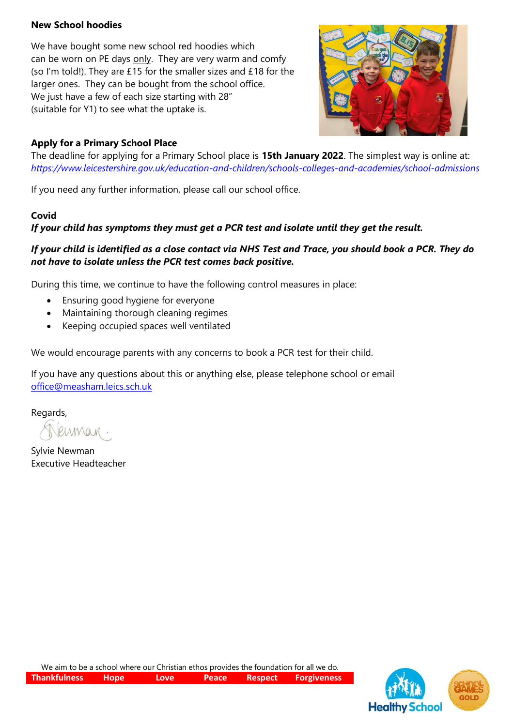# **New School hoodies**

We have bought some new school red hoodies which can be worn on PE days only. They are very warm and comfy (so I'm told!). They are £15 for the smaller sizes and £18 for the larger ones. They can be bought from the school office. We just have a few of each size starting with 28" (suitable for Y1) to see what the uptake is.



# **Apply for a Primary School Place**

The deadline for applying for a Primary School place is **15th January 2022**. The simplest way is online at: *<https://www.leicestershire.gov.uk/education-and-children/schools-colleges-and-academies/school-admissions>*

If you need any further information, please call our school office.

#### **Covid**

# *If your child has symptoms they must get a PCR test and isolate until they get the result.*

# *If your child is identified as a close contact via NHS Test and Trace, you should book a PCR. They do not have to isolate unless the PCR test comes back positive.*

During this time, we continue to have the following control measures in place:

- Ensuring good hygiene for everyone
- Maintaining thorough cleaning regimes
- Keeping occupied spaces well ventilated

We would encourage parents with any concerns to book a PCR test for their child.

If you have any questions about this or anything else, please telephone school or email [office@measham.leics.sch.uk](mailto:office@measham.leics.sch.uk)

Regards,

enman.

Sylvie Newman Executive Headteacher